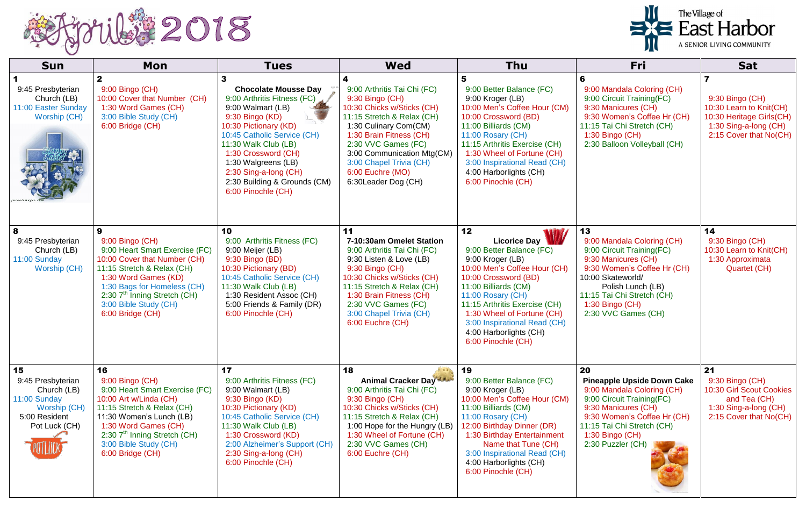

| <b>Sun</b>                                                                                               | <b>Mon</b>                                                                                                                                                                                                                                                           | <b>Tues</b>                                                                                                                                                                                                                                                                                                     | <b>Wed</b>                                                                                                                                                                                                                                                                                 | <b>Thu</b>                                                                                                                                                                                                                                                                                                             | <b>Fri</b>                                                                                                                                                                                                                            | <b>Sat</b>                                                                                                                |
|----------------------------------------------------------------------------------------------------------|----------------------------------------------------------------------------------------------------------------------------------------------------------------------------------------------------------------------------------------------------------------------|-----------------------------------------------------------------------------------------------------------------------------------------------------------------------------------------------------------------------------------------------------------------------------------------------------------------|--------------------------------------------------------------------------------------------------------------------------------------------------------------------------------------------------------------------------------------------------------------------------------------------|------------------------------------------------------------------------------------------------------------------------------------------------------------------------------------------------------------------------------------------------------------------------------------------------------------------------|---------------------------------------------------------------------------------------------------------------------------------------------------------------------------------------------------------------------------------------|---------------------------------------------------------------------------------------------------------------------------|
| 9:45 Presbyterian<br>Church (LB)<br>11:00 Easter Sunday<br>Worship (CH)                                  | $\mathbf{2}$<br>9:00 Bingo (CH)<br>10:00 Cover that Number (CH)<br>1:30 Word Games (CH)<br>3:00 Bible Study (CH)<br>6:00 Bridge (CH)                                                                                                                                 | <b>Chocolate Mousse Day</b><br>9:00 Arthritis Fitness (FC)<br>9:00 Walmart (LB)<br>9:30 Bingo (KD)<br>10:30 Pictionary (KD)<br>10:45 Catholic Service (CH)<br>11:30 Walk Club (LB)<br>1:30 Crossword (CH)<br>1:30 Walgreens (LB)<br>2:30 Sing-a-long (CH)<br>2:30 Building & Grounds (CM)<br>6:00 Pinochle (CH) | 9:00 Arthritis Tai Chi (FC)<br>9:30 Bingo (CH)<br>10:30 Chicks w/Sticks (CH)<br>11:15 Stretch & Relax (CH)<br>1:30 Culinary Com(CM)<br>1:30 Brain Fitness (CH)<br>2:30 VVC Games (FC)<br>3:00 Communication Mtg(CM)<br>3:00 Chapel Trivia (CH)<br>6:00 Euchre (MO)<br>6:30 Leader Dog (CH) | 9:00 Better Balance (FC)<br>9:00 Kroger (LB)<br>10:00 Men's Coffee Hour (CM)<br>10:00 Crossword (BD)<br>11:00 Billiards (CM)<br>11:00 Rosary (CH)<br>11:15 Arthritis Exercise (CH)<br>1:30 Wheel of Fortune (CH)<br>3:00 Inspirational Read (CH)<br>4:00 Harborlights (CH)<br>6:00 Pinochle (CH)                       | 6<br>9:00 Mandala Coloring (CH)<br>9:00 Circuit Training(FC)<br>9:30 Manicures (CH)<br>9:30 Women's Coffee Hr (CH)<br>11:15 Tai Chi Stretch (CH)<br>1:30 Bingo (CH)<br>2:30 Balloon Volleyball (CH)                                   | 9:30 Bingo (CH)<br>10:30 Learn to Knit(CH)<br>10:30 Heritage Girls(CH)<br>1:30 Sing-a-long (CH)<br>2:15 Cover that No(CH) |
| 8<br>9:45 Presbyterian<br>Church (LB)<br>11:00 Sunday<br><b>Worship (CH)</b>                             | 9<br>9:00 Bingo (CH)<br>9:00 Heart Smart Exercise (FC)<br>10:00 Cover that Number (CH)<br>11:15 Stretch & Relax (CH)<br>1:30 Word Games (KD)<br>1:30 Bags for Homeless (CH)<br>2:30 7 <sup>th</sup> Inning Stretch (CH)<br>3:00 Bible Study (CH)<br>6:00 Bridge (CH) | 10<br>9:00 Arthritis Fitness (FC)<br>9:00 Meijer (LB)<br>9:30 Bingo (BD)<br>10:30 Pictionary (BD)<br>10:45 Catholic Service (CH)<br>11:30 Walk Club (LB)<br>1:30 Resident Assoc (CH)<br>5:00 Friends & Family (DR)<br>6:00 Pinochle (CH)                                                                        | 11<br>7-10:30am Omelet Station<br>9:00 Arthritis Tai Chi (FC)<br>9:30 Listen & Love (LB)<br>9:30 Bingo (CH)<br>10:30 Chicks w/Sticks (CH)<br>11:15 Stretch & Relax (CH)<br>1:30 Brain Fitness (CH)<br>2:30 VVC Games (FC)<br>3:00 Chapel Trivia (CH)<br>6:00 Euchre (CH)                   | 12<br>Licorice Day<br>9:00 Better Balance (FC)<br>9:00 Kroger (LB)<br>10:00 Men's Coffee Hour (CH)<br>10:00 Crossword (BD)<br>11:00 Billiards (CM)<br>11:00 Rosary (CH)<br>11:15 Arthritis Exercise (CH)<br>1:30 Wheel of Fortune (CH)<br>3:00 Inspirational Read (CH)<br>4:00 Harborlights (CH)<br>6:00 Pinochle (CH) | 13<br>9:00 Mandala Coloring (CH)<br>9:00 Circuit Training(FC)<br>9:30 Manicures (CH)<br>9:30 Women's Coffee Hr (CH)<br>10:00 Skateworld/<br>Polish Lunch (LB)<br>11:15 Tai Chi Stretch (CH)<br>1:30 Bingo (CH)<br>2:30 VVC Games (CH) | 14<br>9:30 Bingo (CH)<br>10:30 Learn to Knit(CH)<br>1:30 Approximata<br>Quartet (CH)                                      |
| 15<br>9:45 Presbyterian<br>Church (LB)<br>11:00 Sunday<br>Worship (CH)<br>5:00 Resident<br>Pot Luck (CH) | 16<br>9:00 Bingo (CH)<br>9:00 Heart Smart Exercise (FC)<br>10:00 Art w/Linda (CH)<br>11:15 Stretch & Relax (CH)<br>11:30 Women's Lunch (LB)<br>1:30 Word Games (CH)<br>2:30 7 <sup>th</sup> Inning Stretch (CH)<br>3:00 Bible Study (CH)<br>6:00 Bridge (CH)         | 17<br>9:00 Arthritis Fitness (FC)<br>9:00 Walmart (LB)<br>9:30 Bingo (KD)<br>10:30 Pictionary (KD)<br>10:45 Catholic Service (CH)<br>11:30 Walk Club (LB)<br>1:30 Crossword (KD)<br>2:00 Alzheimer's Support (CH)<br>2:30 Sing-a-long (CH)<br>6:00 Pinochle (CH)                                                | 18<br><b>Animal Cracker Day Allen</b><br>9:00 Arthritis Tai Chi (FC)<br>9:30 Bingo (CH)<br>10:30 Chicks w/Sticks (CH)<br>11:15 Stretch & Relax (CH)<br>1:00 Hope for the Hungry (LB)<br>1:30 Wheel of Fortune (CH)<br>2:30 VVC Games (CH)<br>6:00 Euchre (CH)                              | 19<br>9:00 Better Balance (FC)<br>9:00 Kroger (LB)<br>10:00 Men's Coffee Hour (CM)<br>11:00 Billiards (CM)<br>11:00 Rosary (CH)<br>12:00 Birthday Dinner (DR)<br>1:30 Birthday Entertainment<br>Name that Tune (CH)<br>3:00 Inspirational Read (CH)<br>4:00 Harborlights (CH)<br>6:00 Pinochle (CH)                    | 20<br><b>Pineapple Upside Down Cake</b><br>9:00 Mandala Coloring (CH)<br>9:00 Circuit Training(FC)<br>9:30 Manicures (CH)<br>9:30 Women's Coffee Hr (CH)<br>11:15 Tai Chi Stretch (CH)<br>1:30 Bingo (CH)<br>2:30 Puzzler (CH)        | 21<br>9:30 Bingo (CH)<br>10:30 Girl Scout Cookies<br>and Tea (CH)<br>1:30 Sing-a-long (CH)<br>2:15 Cover that No(CH)      |

## The Village of<br>
East Harbor A SENIOR LIVING COMMUNITY